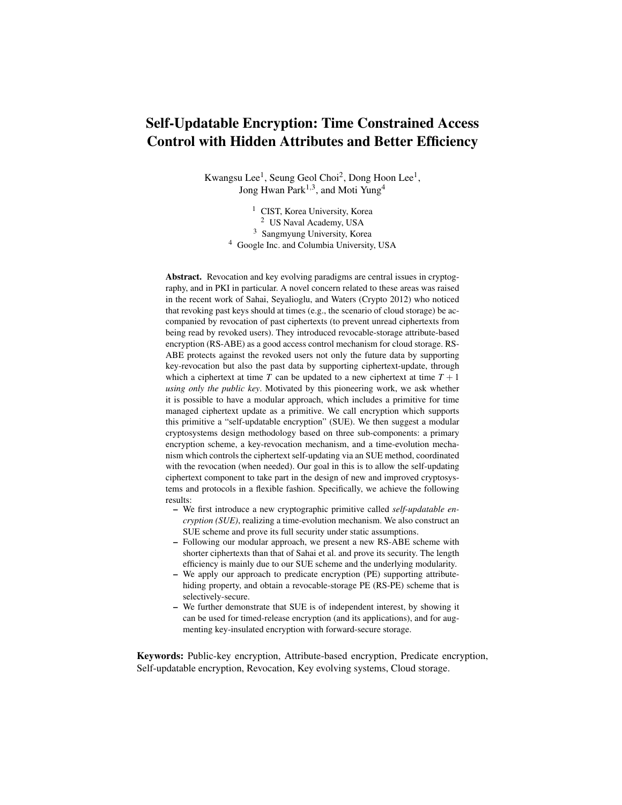# Self-Updatable Encryption: Time Constrained Access Control with Hidden Attributes and Better Efficiency

Kwangsu Lee<sup>1</sup>, Seung Geol Choi<sup>2</sup>, Dong Hoon Lee<sup>1</sup>, Jong Hwan Park<sup>1,3</sup>, and Moti Yung<sup>4</sup>

> CIST, Korea University, Korea US Naval Academy, USA Sangmyung University, Korea Google Inc. and Columbia University, USA

Abstract. Revocation and key evolving paradigms are central issues in cryptography, and in PKI in particular. A novel concern related to these areas was raised in the recent work of Sahai, Seyalioglu, and Waters (Crypto 2012) who noticed that revoking past keys should at times (e.g., the scenario of cloud storage) be accompanied by revocation of past ciphertexts (to prevent unread ciphertexts from being read by revoked users). They introduced revocable-storage attribute-based encryption (RS-ABE) as a good access control mechanism for cloud storage. RS-ABE protects against the revoked users not only the future data by supporting key-revocation but also the past data by supporting ciphertext-update, through which a ciphertext at time  $T$  can be updated to a new ciphertext at time  $T + 1$ *using only the public key*. Motivated by this pioneering work, we ask whether it is possible to have a modular approach, which includes a primitive for time managed ciphertext update as a primitive. We call encryption which supports this primitive a "self-updatable encryption" (SUE). We then suggest a modular cryptosystems design methodology based on three sub-components: a primary encryption scheme, a key-revocation mechanism, and a time-evolution mechanism which controls the ciphertext self-updating via an SUE method, coordinated with the revocation (when needed). Our goal in this is to allow the self-updating ciphertext component to take part in the design of new and improved cryptosystems and protocols in a flexible fashion. Specifically, we achieve the following results:

- We first introduce a new cryptographic primitive called *self-updatable encryption (SUE)*, realizing a time-evolution mechanism. We also construct an SUE scheme and prove its full security under static assumptions.
- Following our modular approach, we present a new RS-ABE scheme with shorter ciphertexts than that of Sahai et al. and prove its security. The length efficiency is mainly due to our SUE scheme and the underlying modularity.
- We apply our approach to predicate encryption (PE) supporting attributehiding property, and obtain a revocable-storage PE (RS-PE) scheme that is selectively-secure.
- We further demonstrate that SUE is of independent interest, by showing it can be used for timed-release encryption (and its applications), and for augmenting key-insulated encryption with forward-secure storage.

Keywords: Public-key encryption, Attribute-based encryption, Predicate encryption, Self-updatable encryption, Revocation, Key evolving systems, Cloud storage.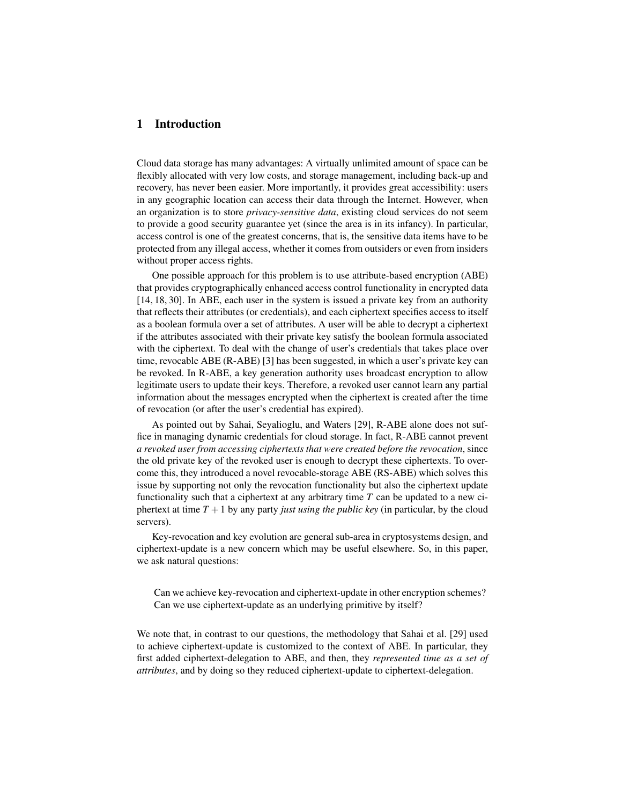# 1 Introduction

Cloud data storage has many advantages: A virtually unlimited amount of space can be flexibly allocated with very low costs, and storage management, including back-up and recovery, has never been easier. More importantly, it provides great accessibility: users in any geographic location can access their data through the Internet. However, when an organization is to store *privacy-sensitive data*, existing cloud services do not seem to provide a good security guarantee yet (since the area is in its infancy). In particular, access control is one of the greatest concerns, that is, the sensitive data items have to be protected from any illegal access, whether it comes from outsiders or even from insiders without proper access rights.

One possible approach for this problem is to use attribute-based encryption (ABE) that provides cryptographically enhanced access control functionality in encrypted data [14, 18, 30]. In ABE, each user in the system is issued a private key from an authority that reflects their attributes (or credentials), and each ciphertext specifies access to itself as a boolean formula over a set of attributes. A user will be able to decrypt a ciphertext if the attributes associated with their private key satisfy the boolean formula associated with the ciphertext. To deal with the change of user's credentials that takes place over time, revocable ABE (R-ABE) [3] has been suggested, in which a user's private key can be revoked. In R-ABE, a key generation authority uses broadcast encryption to allow legitimate users to update their keys. Therefore, a revoked user cannot learn any partial information about the messages encrypted when the ciphertext is created after the time of revocation (or after the user's credential has expired).

As pointed out by Sahai, Seyalioglu, and Waters [29], R-ABE alone does not suffice in managing dynamic credentials for cloud storage. In fact, R-ABE cannot prevent *a revoked user from accessing ciphertexts that were created before the revocation*, since the old private key of the revoked user is enough to decrypt these ciphertexts. To overcome this, they introduced a novel revocable-storage ABE (RS-ABE) which solves this issue by supporting not only the revocation functionality but also the ciphertext update functionality such that a ciphertext at any arbitrary time *T* can be updated to a new ciphertext at time  $T + 1$  by any party *just using the public key* (in particular, by the cloud servers).

Key-revocation and key evolution are general sub-area in cryptosystems design, and ciphertext-update is a new concern which may be useful elsewhere. So, in this paper, we ask natural questions:

Can we achieve key-revocation and ciphertext-update in other encryption schemes? Can we use ciphertext-update as an underlying primitive by itself?

We note that, in contrast to our questions, the methodology that Sahai et al. [29] used to achieve ciphertext-update is customized to the context of ABE. In particular, they first added ciphertext-delegation to ABE, and then, they *represented time as a set of attributes*, and by doing so they reduced ciphertext-update to ciphertext-delegation.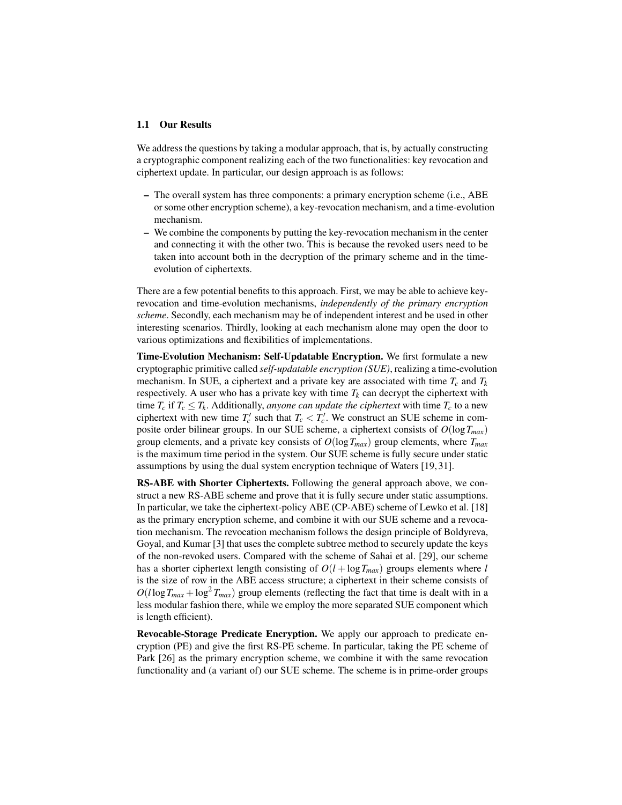#### 1.1 Our Results

We address the questions by taking a modular approach, that is, by actually constructing a cryptographic component realizing each of the two functionalities: key revocation and ciphertext update. In particular, our design approach is as follows:

- The overall system has three components: a primary encryption scheme (i.e., ABE or some other encryption scheme), a key-revocation mechanism, and a time-evolution mechanism.
- We combine the components by putting the key-revocation mechanism in the center and connecting it with the other two. This is because the revoked users need to be taken into account both in the decryption of the primary scheme and in the timeevolution of ciphertexts.

There are a few potential benefits to this approach. First, we may be able to achieve keyrevocation and time-evolution mechanisms, *independently of the primary encryption scheme*. Secondly, each mechanism may be of independent interest and be used in other interesting scenarios. Thirdly, looking at each mechanism alone may open the door to various optimizations and flexibilities of implementations.

Time-Evolution Mechanism: Self-Updatable Encryption. We first formulate a new cryptographic primitive called *self-updatable encryption (SUE)*, realizing a time-evolution mechanism. In SUE, a ciphertext and a private key are associated with time  $T_c$  and  $T_k$ respectively. A user who has a private key with time  $T_k$  can decrypt the ciphertext with time  $T_c$  if  $T_c \leq T_k$ . Additionally, *anyone can update the ciphertext* with time  $T_c$  to a new ciphertext with new time  $T'_c$  such that  $T_c < T'_c$ . We construct an SUE scheme in composite order bilinear groups. In our SUE scheme, a ciphertext consists of *O*(log*Tmax*) group elements, and a private key consists of  $O(\log T_{max})$  group elements, where  $T_{max}$ is the maximum time period in the system. Our SUE scheme is fully secure under static assumptions by using the dual system encryption technique of Waters [19, 31].

RS-ABE with Shorter Ciphertexts. Following the general approach above, we construct a new RS-ABE scheme and prove that it is fully secure under static assumptions. In particular, we take the ciphertext-policy ABE (CP-ABE) scheme of Lewko et al. [18] as the primary encryption scheme, and combine it with our SUE scheme and a revocation mechanism. The revocation mechanism follows the design principle of Boldyreva, Goyal, and Kumar [3] that uses the complete subtree method to securely update the keys of the non-revoked users. Compared with the scheme of Sahai et al. [29], our scheme has a shorter ciphertext length consisting of  $O(l + \log T_{max})$  groups elements where *l* is the size of row in the ABE access structure; a ciphertext in their scheme consists of  $O(l \log T_{max} + \log^2 T_{max})$  group elements (reflecting the fact that time is dealt with in a less modular fashion there, while we employ the more separated SUE component which is length efficient).

Revocable-Storage Predicate Encryption. We apply our approach to predicate encryption (PE) and give the first RS-PE scheme. In particular, taking the PE scheme of Park [26] as the primary encryption scheme, we combine it with the same revocation functionality and (a variant of) our SUE scheme. The scheme is in prime-order groups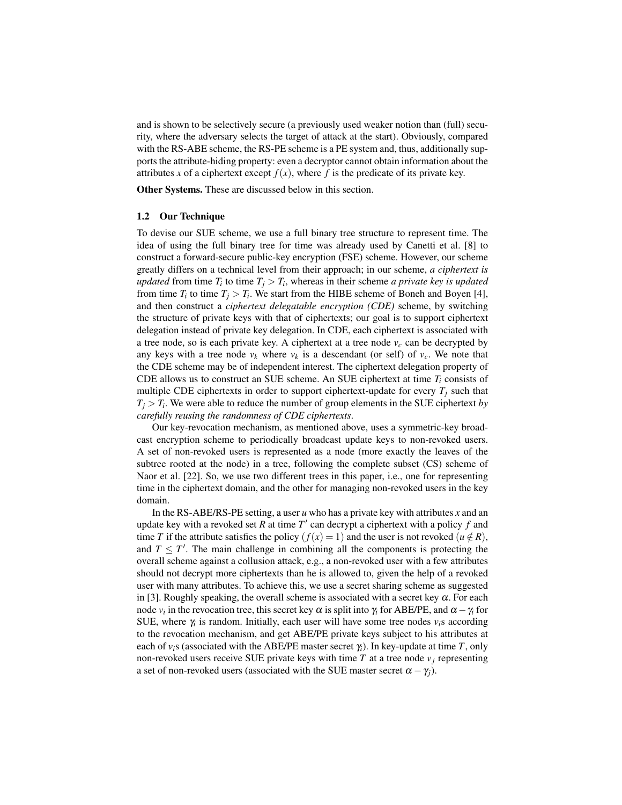and is shown to be selectively secure (a previously used weaker notion than (full) security, where the adversary selects the target of attack at the start). Obviously, compared with the RS-ABE scheme, the RS-PE scheme is a PE system and, thus, additionally supports the attribute-hiding property: even a decryptor cannot obtain information about the attributes *x* of a ciphertext except  $f(x)$ , where f is the predicate of its private key.

Other Systems. These are discussed below in this section.

#### 1.2 Our Technique

To devise our SUE scheme, we use a full binary tree structure to represent time. The idea of using the full binary tree for time was already used by Canetti et al. [8] to construct a forward-secure public-key encryption (FSE) scheme. However, our scheme greatly differs on a technical level from their approach; in our scheme, *a ciphertext is updated* from time  $T_i$  to time  $T_j > T_i$ , whereas in their scheme *a private key is updated* from time  $T_i$  to time  $T_j > T_i$ . We start from the HIBE scheme of Boneh and Boyen [4], and then construct a *ciphertext delegatable encryption (CDE)* scheme, by switching the structure of private keys with that of ciphertexts; our goal is to support ciphertext delegation instead of private key delegation. In CDE, each ciphertext is associated with a tree node, so is each private key. A ciphertext at a tree node  $v_c$  can be decrypted by any keys with a tree node  $v_k$  where  $v_k$  is a descendant (or self) of  $v_c$ . We note that the CDE scheme may be of independent interest. The ciphertext delegation property of CDE allows us to construct an SUE scheme. An SUE ciphertext at time *T<sup>i</sup>* consists of multiple CDE ciphertexts in order to support ciphertext-update for every  $T_i$  such that  $T_j$   $>$  *T<sub>i</sub>*. We were able to reduce the number of group elements in the SUE ciphertext *by carefully reusing the randomness of CDE ciphertexts*.

Our key-revocation mechanism, as mentioned above, uses a symmetric-key broadcast encryption scheme to periodically broadcast update keys to non-revoked users. A set of non-revoked users is represented as a node (more exactly the leaves of the subtree rooted at the node) in a tree, following the complete subset (CS) scheme of Naor et al. [22]. So, we use two different trees in this paper, i.e., one for representing time in the ciphertext domain, and the other for managing non-revoked users in the key domain.

In the RS-ABE/RS-PE setting, a user *u* who has a private key with attributes *x* and an update key with a revoked set *R* at time *T ′* can decrypt a ciphertext with a policy *f* and time *T* if the attribute satisfies the policy  $(f(x) = 1)$  and the user is not revoked  $(u \notin R)$ , and  $T \leq T'$ . The main challenge in combining all the components is protecting the overall scheme against a collusion attack, e.g., a non-revoked user with a few attributes should not decrypt more ciphertexts than he is allowed to, given the help of a revoked user with many attributes. To achieve this, we use a secret sharing scheme as suggested in [3]. Roughly speaking, the overall scheme is associated with a secret key  $\alpha$ . For each node  $v_i$  in the revocation tree, this secret key  $\alpha$  is split into  $\gamma_i$  for ABE/PE, and  $\alpha - \gamma_i$  for SUE, where  $\gamma_i$  is random. Initially, each user will have some tree nodes  $v_i$ s according to the revocation mechanism, and get ABE/PE private keys subject to his attributes at each of  $v_i$ s (associated with the ABE/PE master secret  $\gamma_i$ ). In key-update at time *T*, only non-revoked users receive SUE private keys with time  $T$  at a tree node  $v_i$  representing a set of non-revoked users (associated with the SUE master secret  $\alpha - \gamma_i$ ).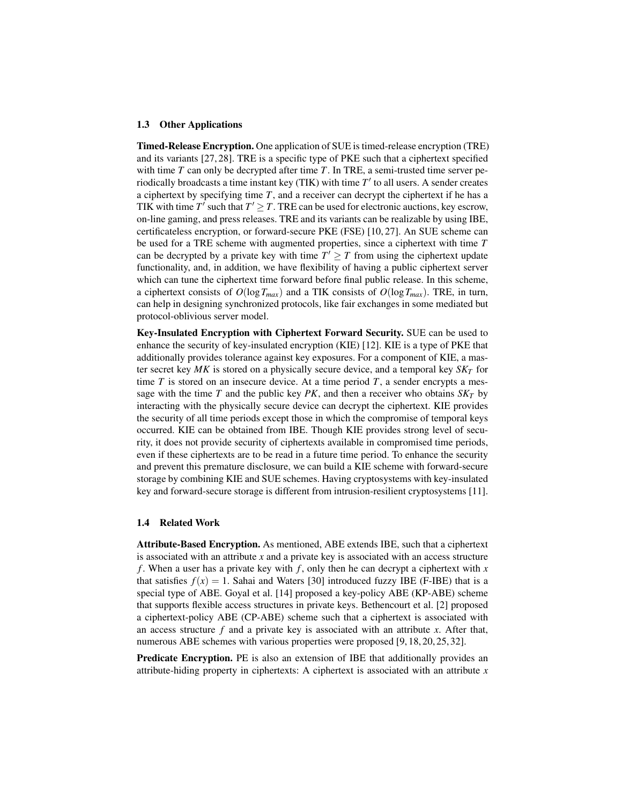#### 1.3 Other Applications

Timed-Release Encryption. One application of SUE is timed-release encryption (TRE) and its variants [27, 28]. TRE is a specific type of PKE such that a ciphertext specified with time *T* can only be decrypted after time *T*. In TRE, a semi-trusted time server periodically broadcasts a time instant key (TIK) with time *T ′* to all users. A sender creates a ciphertext by specifying time *T*, and a receiver can decrypt the ciphertext if he has a TIK with time  $T'$  such that  $T' \geq T$ . TRE can be used for electronic auctions, key escrow, on-line gaming, and press releases. TRE and its variants can be realizable by using IBE, certificateless encryption, or forward-secure PKE (FSE) [10, 27]. An SUE scheme can be used for a TRE scheme with augmented properties, since a ciphertext with time *T* can be decrypted by a private key with time  $T' \geq T$  from using the ciphertext update functionality, and, in addition, we have flexibility of having a public ciphertext server which can tune the ciphertext time forward before final public release. In this scheme, a ciphertext consists of  $O(\log T_{max})$  and a TIK consists of  $O(\log T_{max})$ . TRE, in turn, can help in designing synchronized protocols, like fair exchanges in some mediated but protocol-oblivious server model.

Key-Insulated Encryption with Ciphertext Forward Security. SUE can be used to enhance the security of key-insulated encryption (KIE) [12]. KIE is a type of PKE that additionally provides tolerance against key exposures. For a component of KIE, a master secret key *MK* is stored on a physically secure device, and a temporal key *SK<sup>T</sup>* for time  $T$  is stored on an insecure device. At a time period  $T$ , a sender encrypts a message with the time *T* and the public key *PK*, and then a receiver who obtains  $S K_T$  by interacting with the physically secure device can decrypt the ciphertext. KIE provides the security of all time periods except those in which the compromise of temporal keys occurred. KIE can be obtained from IBE. Though KIE provides strong level of security, it does not provide security of ciphertexts available in compromised time periods, even if these ciphertexts are to be read in a future time period. To enhance the security and prevent this premature disclosure, we can build a KIE scheme with forward-secure storage by combining KIE and SUE schemes. Having cryptosystems with key-insulated key and forward-secure storage is different from intrusion-resilient cryptosystems [11].

#### 1.4 Related Work

Attribute-Based Encryption. As mentioned, ABE extends IBE, such that a ciphertext is associated with an attribute *x* and a private key is associated with an access structure *f* . When a user has a private key with *f* , only then he can decrypt a ciphertext with *x* that satisfies  $f(x) = 1$ . Sahai and Waters [30] introduced fuzzy IBE (F-IBE) that is a special type of ABE. Goyal et al. [14] proposed a key-policy ABE (KP-ABE) scheme that supports flexible access structures in private keys. Bethencourt et al. [2] proposed a ciphertext-policy ABE (CP-ABE) scheme such that a ciphertext is associated with an access structure *f* and a private key is associated with an attribute *x*. After that, numerous ABE schemes with various properties were proposed [9, 18, 20, 25, 32].

Predicate Encryption. PE is also an extension of IBE that additionally provides an attribute-hiding property in ciphertexts: A ciphertext is associated with an attribute *x*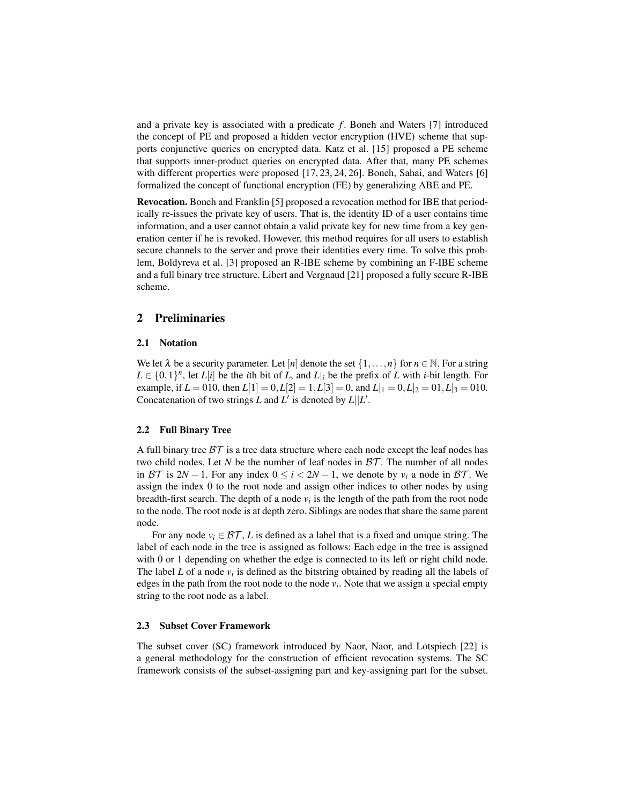and a private key is associated with a predicate f. Boneh and Waters [7] introduced the concept of PE and proposed a hidden vector encryption (HVE) scheme that supports conjunctive queries on encrypted data. Katz et al. [15] proposed a PE scheme that supports inner-product queries on encrypted data. After that, many PE schemes with different properties were proposed [17, 23, 24, 26]. Boneh, Sahai, and Waters [6] formalized the concept of functional encryption (FE) by generalizing ABE and PE.

Revocation. Boneh and Franklin [5] proposed a revocation method for IBE that periodically re-issues the private key of users. That is, the identity ID of a user contains time information, and a user cannot obtain a valid private key for new time from a key generation center if he is revoked. However, this method requires for all users to establish secure channels to the server and prove their identities every time. To solve this problem, Boldyreva et al. [3] proposed an R-IBE scheme by combining an F-IBE scheme and a full binary tree structure. Libert and Vergnaud [21] proposed a fully secure R-IBE scheme.

## 2 Preliminaries

#### 2.1 Notation

We let  $\lambda$  be a security parameter. Let  $[n]$  denote the set  $\{1, \ldots, n\}$  for  $n \in \mathbb{N}$ . For a string  $L \in \{0,1\}^n$ , let *L*[*i*] be the *i*th bit of *L*, and *L*|*i* be the prefix of *L* with *i*-bit length. For example, if  $L = 010$ , then  $L[1] = 0, L[2] = 1, L[3] = 0$ , and  $L|_1 = 0, L|_2 = 01, L|_3 = 010$ . Concatenation of two strings *L* and *L'* is denoted by  $L||L'$ .

## 2.2 Full Binary Tree

A full binary tree *BT* is a tree data structure where each node except the leaf nodes has two child nodes. Let *N* be the number of leaf nodes in *BT* . The number of all nodes in *BT* is 2*N* − 1. For any index  $0 \le i \le 2N - 1$ , we denote by  $v_i$  a node in *BT*. We assign the index 0 to the root node and assign other indices to other nodes by using breadth-first search. The depth of a node  $v_i$  is the length of the path from the root node to the node. The root node is at depth zero. Siblings are nodes that share the same parent node.

For any node  $v_i \in \mathcal{BT}$ , *L* is defined as a label that is a fixed and unique string. The label of each node in the tree is assigned as follows: Each edge in the tree is assigned with 0 or 1 depending on whether the edge is connected to its left or right child node. The label  $L$  of a node  $v_i$  is defined as the bitstring obtained by reading all the labels of edges in the path from the root node to the node  $v_i$ . Note that we assign a special empty string to the root node as a label.

#### 2.3 Subset Cover Framework

The subset cover (SC) framework introduced by Naor, Naor, and Lotspiech [22] is a general methodology for the construction of efficient revocation systems. The SC framework consists of the subset-assigning part and key-assigning part for the subset.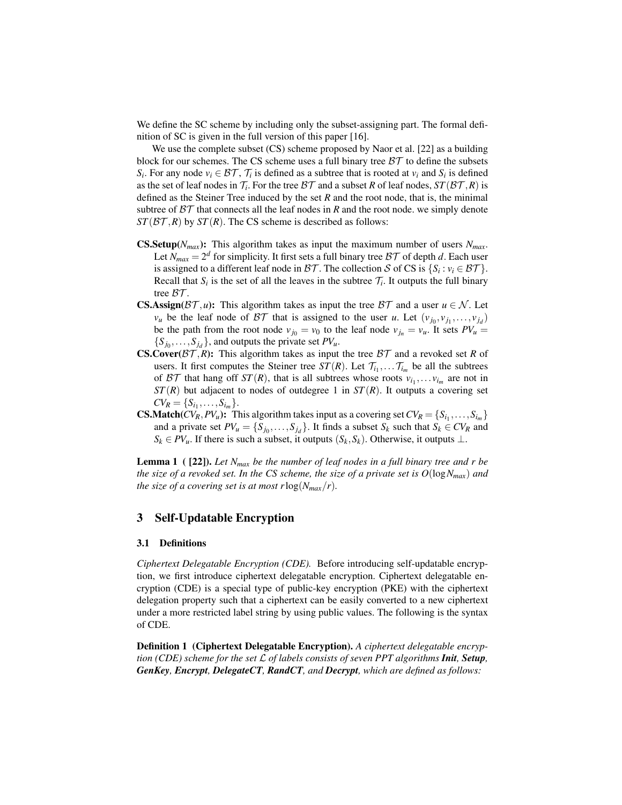We define the SC scheme by including only the subset-assigning part. The formal definition of SC is given in the full version of this paper [16].

We use the complete subset (CS) scheme proposed by Naor et al. [22] as a building block for our schemes. The CS scheme uses a full binary tree *BT* to define the subsets *S*<sup>*i*</sup>. For any node  $v_i \in \mathcal{BT}$ ,  $\mathcal{T}_i$  is defined as a subtree that is rooted at  $v_i$  and  $S_i$  is defined as the set of leaf nodes in  $\mathcal{T}_i$ . For the tree  $\mathcal{BT}$  and a subset  $R$  of leaf nodes,  $ST(\mathcal{BT}, R)$  is defined as the Steiner Tree induced by the set *R* and the root node, that is, the minimal subtree of  $BT$  that connects all the leaf nodes in *R* and the root node, we simply denote  $ST(\mathcal{BT}, R)$  by  $ST(R)$ . The CS scheme is described as follows:

- **CS.Setup**( $N_{max}$ ): This algorithm takes as input the maximum number of users  $N_{max}$ . Let  $N_{max} = 2^d$  for simplicity. It first sets a full binary tree  $\beta \mathcal{T}$  of depth *d*. Each user is assigned to a different leaf node in *BT*. The collection *S* of CS is  $\{S_i : v_i \in \mathcal{BT}\}\.$ Recall that  $S_i$  is the set of all the leaves in the subtree  $\mathcal{T}_i$ . It outputs the full binary tree *BT* .
- **CS.Assign**( $\beta$ T, *u*): This algorithm takes as input the tree  $\beta$ T and a user  $u \in \mathcal{N}$ . Let  $v_u$  be the leaf node of *BT* that is assigned to the user *u*. Let  $(v_{j_0}, v_{j_1}, \ldots, v_{j_d})$ be the path from the root node  $v_{j_0} = v_0$  to the leaf node  $v_{j_n} = v_u$ . It sets  $PV_u =$  ${S_{j_0}, \ldots, S_{j_d}}$ , and outputs the private set *PV<sub>u</sub>*.
- **CS.Cover**( $BT$ , $R$ ): This algorithm takes as input the tree  $BT$  and a revoked set  $R$  of users. It first computes the Steiner tree  $ST(R)$ . Let  $\mathcal{T}_{i_1}, \dots \mathcal{T}_{i_m}$  be all the subtrees of BT that hang off  $ST(R)$ , that is all subtrees whose roots  $v_{i_1}, \ldots v_{i_m}$  are not in  $ST(R)$  but adjacent to nodes of outdegree 1 in  $ST(R)$ . It outputs a covering set  $CV_R = \{S_{i_1}, \ldots, S_{i_m}\}.$
- **CS.Match**( $CV_R$ , $PV_u$ ): This algorithm takes input as a covering set  $CV_R = \{S_{i_1}, \ldots, S_{i_m}\}\$ and a private set  $PV_u = \{S_{j_0}, \ldots, S_{j_d}\}$ . It finds a subset  $S_k$  such that  $S_k \in CV_R$  and  $S_k \in PV_u$ . If there is such a subset, it outputs  $(S_k, S_k)$ . Otherwise, it outputs  $\perp$ .

Lemma 1 ( [22]). *Let Nmax be the number of leaf nodes in a full binary tree and r be the size of a revoked set. In the CS scheme, the size of a private set is*  $O(\log N_{max})$  *and the size of a covering set is at most r*log( $N_{max}/r$ ).

## 3 Self-Updatable Encryption

#### 3.1 Definitions

*Ciphertext Delegatable Encryption (CDE).* Before introducing self-updatable encryption, we first introduce ciphertext delegatable encryption. Ciphertext delegatable encryption (CDE) is a special type of public-key encryption (PKE) with the ciphertext delegation property such that a ciphertext can be easily converted to a new ciphertext under a more restricted label string by using public values. The following is the syntax of CDE.

Definition 1 (Ciphertext Delegatable Encryption). *A ciphertext delegatable encryption (CDE) scheme for the set L of labels consists of seven PPT algorithms Init, Setup, GenKey, Encrypt, DelegateCT, RandCT, and Decrypt, which are defined as follows:*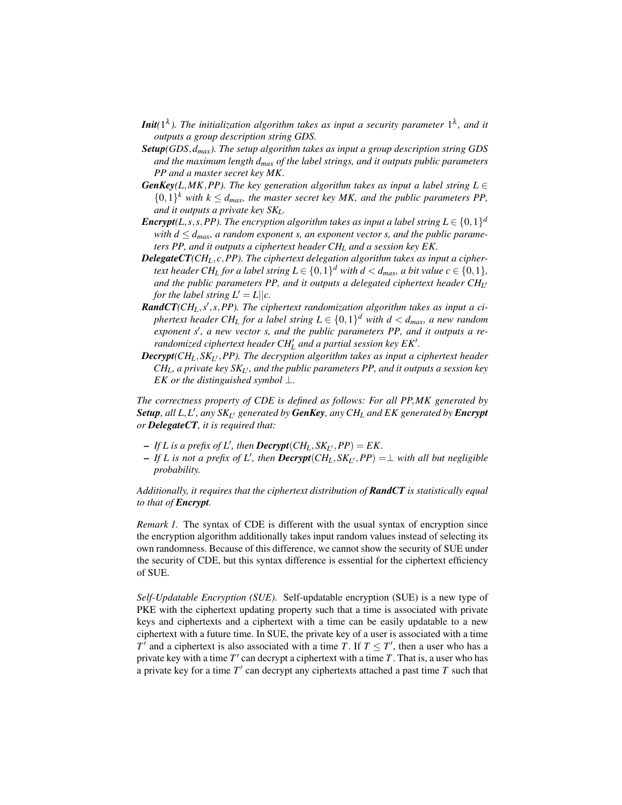- **Init**(1<sup> $\lambda$ </sup>). The initialization algorithm takes as input a security parameter 1<sup> $\lambda$ </sup>, and it *outputs a group description string GDS.*
- *Setup(GDS,dmax). The setup algorithm takes as input a group description string GDS and the maximum length dmax of the label strings, and it outputs public parameters PP and a master secret key MK.*
- *GenKey*(*L*,*MK*,*PP*). The key generation algorithm takes as input a label string  $L \in$  $\{0,1\}$ <sup>k</sup> with  $k \leq d_{max}$ , the master secret key MK, and the public parameters PP, *and it outputs a private key SKL.*
- *Encrypt*(*L,s,s,PP*). The encryption algorithm takes as input a label string  $L \in \{0,1\}^d$ *with*  $d \leq d_{\text{max}}$ *, a random exponent s, an exponent vector s, and the public parameters PP, and it outputs a ciphertext header CH<sup>L</sup> and a session key EK.*
- *DelegateCT(CHL,c,PP). The ciphertext delegation algorithm takes as input a ciphertext header*  $\mathit{CH}_{L}$  *for a label string*  $L \in \{0,1\}^{d}$  *with*  $d < d_{max}$ *, a bit value*  $c \in \{0,1\}$ *, and the public parameters PP, and it outputs a delegated ciphertext header CH<sup>L</sup> ′ for the label string*  $L' = L||c$ *.*
- *RandCT(CHL,s ′ ,s,PP). The ciphertext randomization algorithm takes as input a ciphertext header CH<sup>L</sup> for a label string L ∈ {*0*,*1*} <sup>d</sup> with d < dmax, a new random exponent s′ , a new vector s, and the public parameters PP, and it outputs a rerandomized ciphertext header CH′ L and a partial session key EK′ .*
- *Decrypt(CHL,SK<sup>L</sup> ′,PP). The decryption algorithm takes as input a ciphertext header*  $CH_L$ , a private key  $SK_{L'}$ , and the public parameters PP, and it outputs a session key *EK or the distinguished symbol ⊥.*

*The correctness property of CDE is defined as follows: For all PP,MK generated by Setup, all L,L ′ , any SK<sup>L</sup> ′ generated by GenKey, any CH<sup>L</sup> and EK generated by Encrypt or DelegateCT, it is required that:*

- $-IfL$  *is a prefix of*  $L'$ *, then*  $\text{Decrypt}(CH_L, SK_{L'}, PP) = EK$ .
- $-IfL$  *is not a prefix of L'*, then  $\text{Decrypt}(CH_L, SK_{L'}, PP) = \perp$  with all but negligible *probability.*

*Additionally, it requires that the ciphertext distribution of RandCT is statistically equal to that of Encrypt.*

*Remark 1.* The syntax of CDE is different with the usual syntax of encryption since the encryption algorithm additionally takes input random values instead of selecting its own randomness. Because of this difference, we cannot show the security of SUE under the security of CDE, but this syntax difference is essential for the ciphertext efficiency of SUE.

*Self-Updatable Encryption (SUE).* Self-updatable encryption (SUE) is a new type of PKE with the ciphertext updating property such that a time is associated with private keys and ciphertexts and a ciphertext with a time can be easily updatable to a new ciphertext with a future time. In SUE, the private key of a user is associated with a time *T*<sup> $\prime$ </sup> and a ciphertext is also associated with a time *T*. If  $T \leq T'$ , then a user who has a private key with a time *T ′* can decrypt a ciphertext with a time *T*. That is, a user who has a private key for a time *T ′* can decrypt any ciphertexts attached a past time *T* such that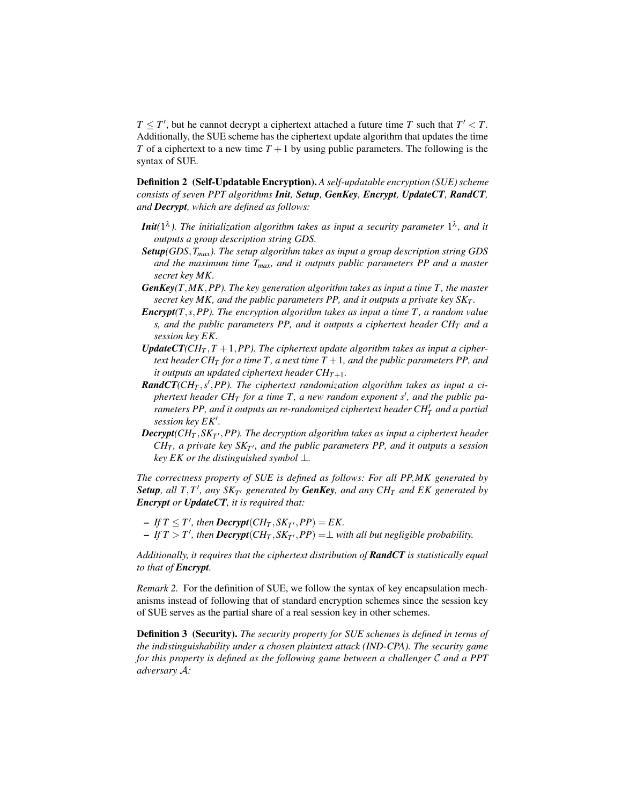*T*  $\leq$  *T*<sup>'</sup>, but he cannot decrypt a ciphertext attached a future time *T* such that *T*<sup>'</sup>  $\lt$  *T*. Additionally, the SUE scheme has the ciphertext update algorithm that updates the time *T* of a ciphertext to a new time  $T + 1$  by using public parameters. The following is the syntax of SUE.

Definition 2 (Self-Updatable Encryption). *A self-updatable encryption (SUE) scheme consists of seven PPT algorithms Init, Setup, GenKey, Encrypt, UpdateCT, RandCT, and Decrypt, which are defined as follows:*

- **Init**(1<sup> $\lambda$ </sup>). The initialization algorithm takes as input a security parameter 1<sup> $\lambda$ </sup>, and it *outputs a group description string GDS.*
- *Setup(GDS,Tmax). The setup algorithm takes as input a group description string GDS and the maximum time Tmax, and it outputs public parameters PP and a master secret key MK.*
- *GenKey(T,MK,PP). The key generation algorithm takes as input a time T , the master secret key MK, and the public parameters PP, and it outputs a private key SK<sup>T</sup> .*
- *Encrypt(T,s,PP). The encryption algorithm takes as input a time T , a random value s, and the public parameters PP, and it outputs a ciphertext header CH<sup>T</sup> and a session key EK.*
- *UpdateCT*( $CH_T$ ,  $T + 1$ ,  $PP$ ). The ciphertext update algorithm takes as input a cipher*text header CH<sub>T</sub> for a time T, a next time T* + 1*, and the public parameters PP, and it outputs an updated ciphertext header*  $CH_{T+1}$ *.*
- **RandCT**(CH<sub>T</sub>,s',PP). The ciphertext randomization algorithm takes as input a ci*phertext header CH<sup>T</sup> for a time T , a new random exponent s′ , and the public parameters PP, and it outputs an re-randomized ciphertext header*  $CH_T^{\prime}$  *and a partial session key EK′ .*
- *Decrypt(CH<sup>T</sup> ,SK<sup>T</sup> ′,PP). The decryption algorithm takes as input a ciphertext header*  $CH_T$ , a private key  $SK_{T'}$ , and the public parameters PP, and it outputs a session *key EK or the distinguished symbol ⊥.*

*The correctness property of SUE is defined as follows: For all PP,MK generated by Setup, all T,T ′ , any SK<sup>T</sup> ′ generated by GenKey, and any CH<sup>T</sup> and EK generated by Encrypt or UpdateCT, it is required that:*

- $-FfT \leq T'$ , then **Decrypt**(CH<sub>T</sub>, SK<sub>T'</sub>, PP) = EK.
- $-IfT > T'$ , then  $\text{Decrypt}(CH_T, SK_{T'}, PP) = \perp$  with all but negligible probability.

*Additionally, it requires that the ciphertext distribution of RandCT is statistically equal to that of Encrypt.*

*Remark 2.* For the definition of SUE, we follow the syntax of key encapsulation mechanisms instead of following that of standard encryption schemes since the session key of SUE serves as the partial share of a real session key in other schemes.

Definition 3 (Security). *The security property for SUE schemes is defined in terms of the indistinguishability under a chosen plaintext attack (IND-CPA). The security game for this property is defined as the following game between a challenger C and a PPT adversary A:*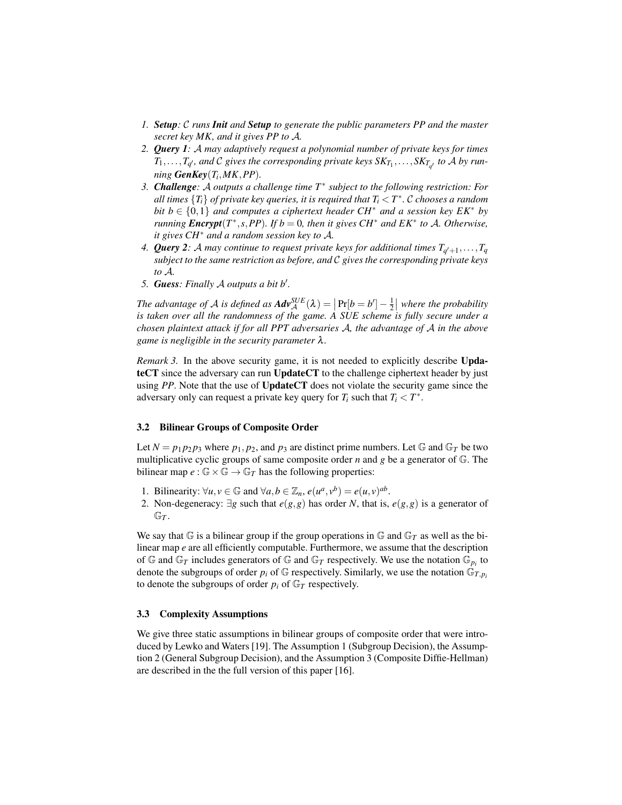- *1. Setup: C runs Init and Setup to generate the public parameters PP and the master secret key MK, and it gives PP to A.*
- *2. Query 1: A may adaptively request a polynomial number of private keys for times*  $T_1, \ldots, T_{q'},$  and  $\mathcal C$  gives the corresponding private keys  $\mathrm{SK}_{T_1}, \ldots, \mathrm{SK}_{T_{q'}}$  to  $\mathcal A$  by run*ning GenKey*(*T<sup>i</sup> ,MK,PP*)*.*
- *3. Challenge: A outputs a challenge time T<sup>∗</sup> subject to the following restriction: For all times*  $\{T_i\}$  *of private key queries, it is required that*  $T_i < T^*$ *.*  $\mathcal C$  *<i>chooses a random bit*  $b \in \{0,1\}$  *and computes a ciphertext header CH<sup>\*</sup> <i>and a session key EK<sup>\*</sup> <i>by running Encrypt*( $T^*$ , *s*,  $PP$ )*.* If  $b = 0$ , then it gives  $CH^*$  *and*  $EK^*$  *to*  $A$ *. Otherwise, it gives CH<sup>∗</sup> and a random session key to A.*
- 4. Query 2: A may continue to request private keys for additional times  $T_{q'+1},...,T_q$ *subject to the same restriction as before, and C gives the corresponding private keys to A.*
- *5. Guess: Finally A outputs a bit b′ .*

The advantage of *A* is defined as  $Adv_{\mathcal{A}}^{SUE}(\lambda) = \left| \Pr[b = b'] - \frac{1}{2} \right|$  where the probability *is taken over all the randomness of the game. A SUE scheme is fully secure under a chosen plaintext attack if for all PPT adversaries A, the advantage of A in the above game is negligible in the security parameter* λ*.*

*Remark 3.* In the above security game, it is not needed to explicitly describe UpdateCT since the adversary can run UpdateCT to the challenge ciphertext header by just using *PP*. Note that the use of UpdateCT does not violate the security game since the adversary only can request a private key query for  $T_i$  such that  $T_i < T^*$ .

#### 3.2 Bilinear Groups of Composite Order

Let  $N = p_1 p_2 p_3$  where  $p_1, p_2$ , and  $p_3$  are distinct prime numbers. Let G and G<sub>T</sub> be two multiplicative cyclic groups of same composite order *n* and *g* be a generator of G. The bilinear map  $e : \mathbb{G} \times \mathbb{G} \to \mathbb{G}_T$  has the following properties:

- 1. Bilinearity:  $\forall u, v \in \mathbb{G}$  and  $\forall a, b \in \mathbb{Z}_n$ ,  $e(u^a, v^b) = e(u, v)^{ab}$ .
- 2. Non-degeneracy: *∃g* such that *e*(*g,g*) has order *N*, that is, *e*(*g,g*) is a generator of  $\mathbb{G}_T$ .

We say that  $\mathbb G$  is a bilinear group if the group operations in  $\mathbb G$  and  $\mathbb G_T$  as well as the bilinear map *e* are all efficiently computable. Furthermore, we assume that the description of  $\mathbb{G}$  and  $\mathbb{G}_T$  includes generators of  $\mathbb{G}$  and  $\mathbb{G}_T$  respectively. We use the notation  $\mathbb{G}_{p_i}$  to denote the subgroups of order  $p_i$  of  $\mathbb{G}$  respectively. Similarly, we use the notation  $\mathbb{G}_{T,p_i}$ to denote the subgroups of order  $p_i$  of  $\mathbb{G}_T$  respectively.

#### 3.3 Complexity Assumptions

We give three static assumptions in bilinear groups of composite order that were introduced by Lewko and Waters [19]. The Assumption 1 (Subgroup Decision), the Assumption 2 (General Subgroup Decision), and the Assumption 3 (Composite Diffie-Hellman) are described in the the full version of this paper [16].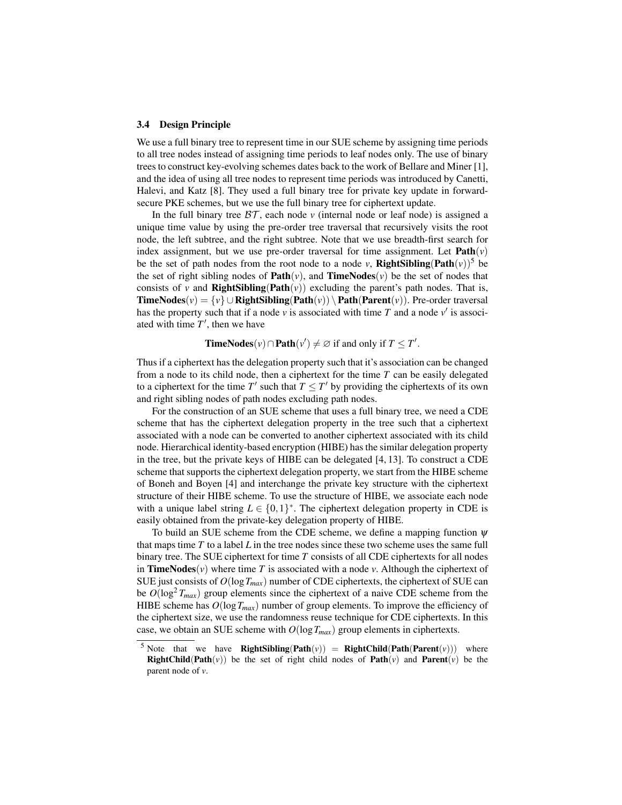#### 3.4 Design Principle

We use a full binary tree to represent time in our SUE scheme by assigning time periods to all tree nodes instead of assigning time periods to leaf nodes only. The use of binary trees to construct key-evolving schemes dates back to the work of Bellare and Miner [1], and the idea of using all tree nodes to represent time periods was introduced by Canetti, Halevi, and Katz [8]. They used a full binary tree for private key update in forwardsecure PKE schemes, but we use the full binary tree for ciphertext update.

In the full binary tree  $BT$ , each node  $\nu$  (internal node or leaf node) is assigned a unique time value by using the pre-order tree traversal that recursively visits the root node, the left subtree, and the right subtree. Note that we use breadth-first search for index assignment, but we use pre-order traversal for time assignment. Let  $Path(v)$ be the set of path nodes from the root node to a node *v*, **RightSibling(Path** $(v)$ )<sup>5</sup> be the set of right sibling nodes of **Path** $(v)$ , and **TimeNodes** $(v)$  be the set of nodes that consists of *v* and **RightSibling(Path** $(v)$ ) excluding the parent's path nodes. That is, **TimeNodes**( $v$ ) =  $\{v\}$  ∪ **RightSibling(Path(** $v$ )) **\ Path(Parent(** $v$ )). Pre-order traversal has the property such that if a node  $v$  is associated with time  $T$  and a node  $v'$  is associated with time *T ′* , then we have

**TimeNodes**( $v$ ) ∩ **Path**( $v'$ )  $\neq \emptyset$  if and only if  $T \leq T'$ .

Thus if a ciphertext has the delegation property such that it's association can be changed from a node to its child node, then a ciphertext for the time *T* can be easily delegated to a ciphertext for the time  $T'$  such that  $T \leq T'$  by providing the ciphertexts of its own and right sibling nodes of path nodes excluding path nodes.

For the construction of an SUE scheme that uses a full binary tree, we need a CDE scheme that has the ciphertext delegation property in the tree such that a ciphertext associated with a node can be converted to another ciphertext associated with its child node. Hierarchical identity-based encryption (HIBE) has the similar delegation property in the tree, but the private keys of HIBE can be delegated [4, 13]. To construct a CDE scheme that supports the ciphertext delegation property, we start from the HIBE scheme of Boneh and Boyen [4] and interchange the private key structure with the ciphertext structure of their HIBE scheme. To use the structure of HIBE, we associate each node with a unique label string  $L \in \{0,1\}^*$ . The ciphertext delegation property in CDE is easily obtained from the private-key delegation property of HIBE.

To build an SUE scheme from the CDE scheme, we define a mapping function  $\psi$ that maps time *T* to a label *L* in the tree nodes since these two scheme uses the same full binary tree. The SUE ciphertext for time *T* consists of all CDE ciphertexts for all nodes in **TimeNodes** $(v)$  where time *T* is associated with a node *v*. Although the ciphertext of SUE just consists of  $O(\log T_{max})$  number of CDE ciphertexts, the ciphertext of SUE can be  $O(\log^2 T_{max})$  group elements since the ciphertext of a naive CDE scheme from the HIBE scheme has  $O(\log T_{max})$  number of group elements. To improve the efficiency of the ciphertext size, we use the randomness reuse technique for CDE ciphertexts. In this case, we obtain an SUE scheme with  $O(\log T_{max})$  group elements in ciphertexts.

<sup>&</sup>lt;sup>5</sup> Note that we have **RightSibling(Path** $(v)$ ) = **RightChild(Path(Parent** $(v)$ )) where **RightChild(Path(***v*)) be the set of right child nodes of **Path(***v*) and **Parent(***v*) be the parent node of *v*.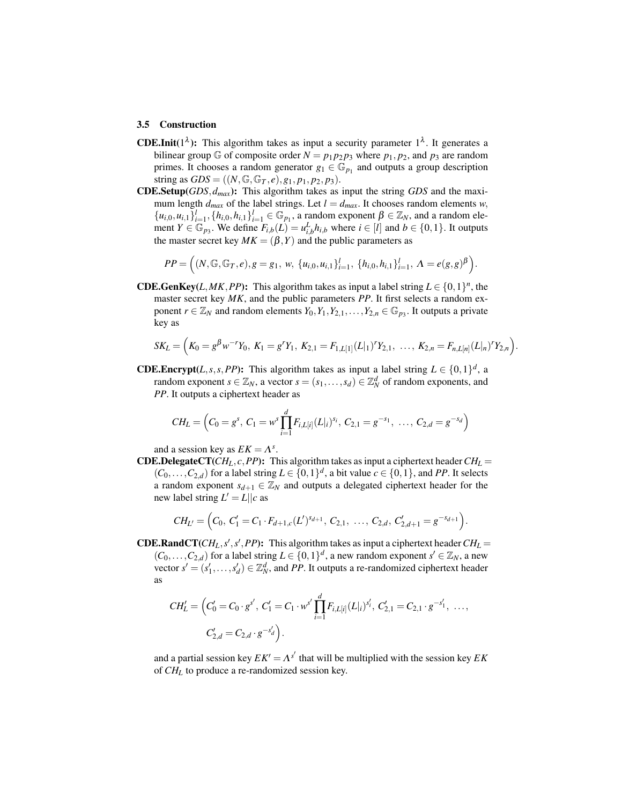#### 3.5 Construction

- **CDE.Init**( $1^{\lambda}$ ): This algorithm takes as input a security parameter  $1^{\lambda}$ . It generates a bilinear group G of composite order  $N = p_1 p_2 p_3$  where  $p_1, p_2$ , and  $p_3$  are random primes. It chooses a random generator  $g_1 \in \mathbb{G}_{p_1}$  and outputs a group description string as  $GDS = ((N, \mathbb{G}, \mathbb{G}_T, e), g_1, p_1, p_2, p_3).$
- CDE.Setup(*GDS,dmax*): This algorithm takes as input the string *GDS* and the maximum length  $d_{max}$  of the label strings. Let  $l = d_{max}$ . It chooses random elements *w*,  ${u_{i,0}, u_{i,1}}_{i=1}^l, {h_{i,0}, h_{i,1}}_{i=1}^l \in \mathbb{G}_{p_1}$ , a random exponent  $\beta \in \mathbb{Z}_N$ , and a random element  $Y \in \mathbb{G}_{p_3}$ . We define  $F_{i,b}(L) = u_{i,b}^L h_{i,b}$  where  $i \in [l]$  and  $b \in \{0,1\}$ . It outputs the master secret key  $MK = (\beta, Y)$  and the public parameters as

$$
PP = \Big((N, \mathbb{G}, \mathbb{G}_T, e), g = g_1, w, \{u_{i,0}, u_{i,1}\}_{i=1}^l, \{h_{i,0}, h_{i,1}\}_{i=1}^l, \Lambda = e(g, g)^\beta\Big).
$$

**CDE.GenKey**(*L,MK,PP*): This algorithm takes as input a label string  $L \in \{0,1\}^n$ , the master secret key *MK*, and the public parameters *PP*. It first selects a random exponent  $r \in \mathbb{Z}_N$  and random elements  $Y_0, Y_1, Y_{2,1}, \ldots, Y_{2,n} \in \mathbb{G}_{p_3}$ . It outputs a private key as

$$
SK_L = \Big(K_0 = g^{\beta} w^{-r} Y_0, K_1 = g^{r} Y_1, K_{2,1} = F_{1,L[1]}(L|_1)^{r} Y_{2,1}, \ldots, K_{2,n} = F_{n,L[n]}(L|_n)^{r} Y_{2,n}\Big).
$$

**CDE.Encrypt**(*L,s,s,PP*): This algorithm takes as input a label string  $L \in \{0,1\}^d$ , a random exponent *s*  $\in \mathbb{Z}_N$ , a vector *s* = (*s*<sub>1</sub>, . . . , *s*<sub>*d*</sub>)  $\in \mathbb{Z}_N^d$  of random exponents, and *PP*. It outputs a ciphertext header as

$$
CH_L = \left(C_0 = g^s, C_1 = w^s \prod_{i=1}^d F_{i, L[i]}(L|i)^{s_i}, C_{2,1} = g^{-s_1}, \ldots, C_{2,d} = g^{-s_d}\right)
$$

and a session key as  $EK = \Lambda^s$ .

**CDE.DelegateCT**( $CH<sub>L</sub>, c, PP$ ): This algorithm takes as input a ciphertext header  $CH<sub>L</sub>$  =  $(C_0, \ldots, C_{2,d})$  for a label string  $L \in \{0,1\}^d$ , a bit value  $c \in \{0,1\}$ , and *PP*. It selects a random exponent  $s_{d+1} \in \mathbb{Z}_N$  and outputs a delegated ciphertext header for the new label string  $L' = L || c$  as

$$
CH_{L'} = \Big(C_0, C'_1 = C_1 \cdot F_{d+1,c}(L')^{s_{d+1}}, C_{2,1}, \ldots, C_{2,d}, C'_{2,d+1} = g^{-s_{d+1}}\Big).
$$

**CDE.RandCT**( $CH<sub>L</sub>, s', s', PP$ ): This algorithm takes as input a ciphertext header  $CH<sub>L</sub>$  =  $(C_0, \ldots, C_{2,d})$  for a label string  $L \in \{0,1\}^d$ , a new random exponent  $s' \in \mathbb{Z}_N$ , a new vector  $s' = (s'_1, \ldots, s'_d) \in \mathbb{Z}_N^d$ , and *PP*. It outputs a re-randomized ciphertext header as

$$
CH'_L = \left(C'_0 = C_0 \cdot g^{s'}, C'_1 = C_1 \cdot w^{s'} \prod_{i=1}^d F_{i, L[i]}(L|i)^{s'_i}, C'_{2,1} = C_{2,1} \cdot g^{-s'_1}, \dots, C'_{2,d} = C_{2,d} \cdot g^{-s'_d}\right).
$$

and a partial session key  $EK' = \Lambda^{s'}$  that will be multiplied with the session key  $EK$ of *CH<sup>L</sup>* to produce a re-randomized session key.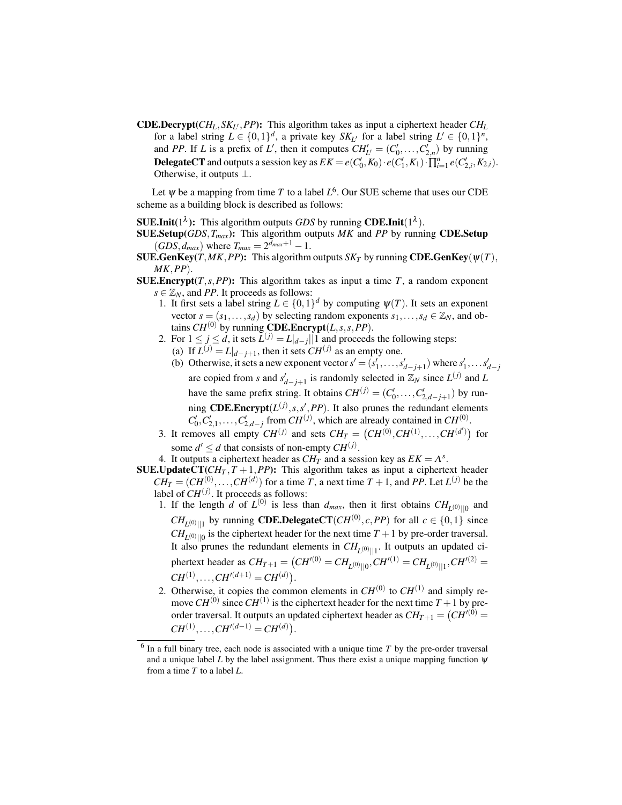**CDE.Decrypt**( $CH<sub>L</sub>, SK<sub>L'</sub>, PP$ ): This algorithm takes as input a ciphertext header  $CH<sub>L</sub>$ for a label string  $L \in \{0,1\}^d$ , a private key  $SK_{L'}$  for a label string  $L' \in \{0,1\}^n$ , and *PP*. If *L* is a prefix of *L'*, then it computes  $CH'_{L'} = (C'_0, \ldots, C'_{2,n})$  by running **DelegateCT** and outputs a session key as  $EK = e(C'_0, K_0) \cdot e(C'_1, K_1) \cdot \prod_{i=1}^n e(C'_{2,i}, K_{2,i}).$ Otherwise, it outputs *⊥*.

Let  $\psi$  be a mapping from time *T* to a label  $L^6$ . Our SUE scheme that uses our CDE scheme as a building block is described as follows:

**SUE.Init**( $1^{\lambda}$ ): This algorithm outputs *GDS* by running **CDE.Init**( $1^{\lambda}$ ).

- SUE.Setup(*GDS,Tmax*): This algorithm outputs *MK* and *PP* by running CDE.Setup  $(GDS, d_{max})$  where  $T_{max} = 2^{d_{max}+1} - 1$ .
- SUE.GenKey(*T*,*MK*,*PP*): This algorithm outputs *SK<sub>T</sub>* by running CDE.GenKey( $\psi(T)$ *, MK,PP*).
- **SUE.Encrypt** $(T, s, PP)$ : This algorithm takes as input a time  $T$ , a random exponent  $s \in \mathbb{Z}_N$ , and *PP*. It proceeds as follows:
	- 1. It first sets a label string  $L \in \{0,1\}^d$  by computing  $\psi(T)$ . It sets an exponent vector  $s = (s_1, \ldots, s_d)$  by selecting random exponents  $s_1, \ldots, s_d \in \mathbb{Z}_N$ , and obtains *CH*<sup>(0)</sup> by running **CDE.Encrypt**(*L,s,s,PP*).
	- 2. For  $1 \le j \le d$ , it sets  $\bar{L}^{(j)} = L|_{d-j}||1$  and proceeds the following steps: (a) If  $L^{(j)} = L|_{d-j+1}$ , then it sets  $CH^{(j)}$  as an empty one.
		- (b) Otherwise, it sets a new exponent vector  $s' = (s'_1, \ldots, s'_{d-j+1})$  where  $s'_1, \ldots, s'_{d-j}$ are copied from *s* and  $s'_{d-j+1}$  is randomly selected in  $\mathbb{Z}_N$  since  $L^{(j)}$  and  $L$ have the same prefix string. It obtains  $CH^{(j)} = (C'_0, \ldots, C'_{2,d-j+1})$  by running **CDE.Encrypt**( $L^{(j)}$ , s, s', PP). It also prunes the redundant elements  $C'_0, C'_{2,1}, \ldots, C'_{2,d-j}$  from  $CH^{(j)}$ , which are already contained in  $CH^{(0)}$ .
	- 3. It removes all empty  $CH^{(j)}$  and sets  $CH_T = (CH^{(0)}, CH^{(1)}, \ldots, CH^{(d')})$  for some  $d' \leq d$  that consists of non-empty  $CH^{(j)}$ .
	- 4. It outputs a ciphertext header as  $CH<sub>T</sub><sup>T</sup>$  and a session key as  $EK = \Lambda<sup>s</sup>$ .
- **SUE.UpdateCT**( $CH_T$ ,  $T + 1$ ,  $PP$ ): This algorithm takes as input a ciphertext header  $CH_T = (CH^{(0)}, \ldots, CH^{(d)})$  for a time *T*, a next time  $T + 1$ , and *PP*. Let  $L^{(j)}$  be the label of  $CH^{(j)}$ . It proceeds as follows:
	- 1. If the length *d* of  $L^{(0)}$  is less than  $d_{max}$ , then it first obtains  $CH_{L^{(0)}||0}$  and  $CH_{L^{(0)}\parallel 1}$  by running **CDE.DelegateCT**(*CH*<sup>(0)</sup>, *c*, *PP*) for all  $c \in \{0,1\}$  since  $CH_{L^{(0)}||0}$  is the ciphertext header for the next time  $T + 1$  by pre-order traversal. It also prunes the redundant elements in  $CH_{L^{(0)}||1}$ . It outputs an updated ciphertext header as  $CH_{T+1} = (CH^{\prime (0)} = CH_{L^{(0)}||0}, CH^{\prime (1)} = CH_{L^{(0)}||1}, CH^{\prime (2)} =$  $CH^{(1)}, \ldots, CH^{\prime (d+1)} = CH^{(d)}$
	- 2. Otherwise, it copies the common elements in  $CH^{(0)}$  to  $CH^{(1)}$  and simply remove  $CH^{(0)}$  since  $CH^{(1)}$  is the ciphertext header for the next time  $T + 1$  by preorder traversal. It outputs an updated ciphertext header as  $CH_{T+1} = (CH<sup>r(0)</sup> =$  $CH^{(1)}, \ldots, CH^{\prime (d-1)} = CH^{(d)}$

<sup>6</sup> In a full binary tree, each node is associated with a unique time *T* by the pre-order traversal and a unique label *L* by the label assignment. Thus there exist a unique mapping function  $\psi$ from a time *T* to a label *L*.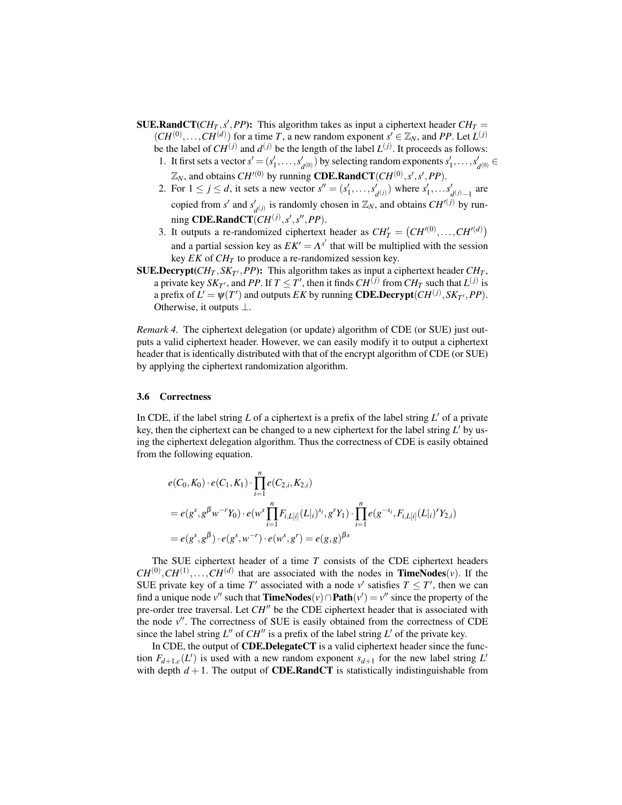- **SUE.RandCT**( $CH_T$ , s', PP): This algorithm takes as input a ciphertext header  $CH_T =$  $(CH^{(0)}, \ldots, CH^{(d)})$  for a time *T*, a new random exponent  $s' \in \mathbb{Z}_N$ , and *PP*. Let  $L^{(j)}$ be the label of  $CH^{(j)}$  and  $d^{(j)}$  be the length of the label  $L^{(j)}$ . It proceeds as follows:
	- 1. It first sets a vector  $s' = (s'_1, \ldots, s'_{d^{(0)}})$  by selecting random exponents  $s'_1, \ldots, s'_{d^{(0)}} \in$  $\mathbb{Z}_N$ , and obtains *CH<sup>′(0)</sup>* by running **CDE.RandCT**(*CH*<sup>(0)</sup>, *s'*, *s'*, *PP*).
	- 2. For  $1 \leq j \leq d$ , it sets a new vector  $s'' = (s'_1, \ldots, s'_d)$  $\mathcal{L}_{d(j)}$ ) where  $s'_1, \ldots s'_d$ *d* (*j*)*−*1 are copied from *s ′* and *s ′*  $d_{d}(j)$  is randomly chosen in  $\mathbb{Z}_N$ , and obtains  $CH^{(j)}$  by run- $\text{ming } \textbf{CDE}.\textbf{RandCT}(CH^{(j)}, s', s'', PP).$
	- 3. It outputs a re-randomized ciphertext header as  $CH'_T = (CH'^{(0)}, \ldots, CH'^{(d)})$ and a partial session key as  $EK' = \Lambda^{s'}$  that will be multiplied with the session key *EK* of  $CH_T$  to produce a re-randomized session key.
- **SUE.Decrypt**( $CH_T$ ,  $SK_{T'}$ , *PP*): This algorithm takes as input a ciphertext header  $CH_T$ , a private key  $SK_{T'}$ , and PP. If  $T \leq T'$ , then it finds  $CH^{(j)}$  from  $CH_{T}$  such that  $L^{(j)}$  is a prefix of  $L' = \psi(T')$  and outputs *EK* by running **CDE.Decrypt**( $CH^{(j)}, SK_{T'}, PP$ ). Otherwise, it outputs *⊥*.

*Remark 4.* The ciphertext delegation (or update) algorithm of CDE (or SUE) just outputs a valid ciphertext header. However, we can easily modify it to output a ciphertext header that is identically distributed with that of the encrypt algorithm of CDE (or SUE) by applying the ciphertext randomization algorithm.

#### 3.6 Correctness

In CDE, if the label string  $L$  of a ciphertext is a prefix of the label string  $L'$  of a private key, then the ciphertext can be changed to a new ciphertext for the label string *L ′* by using the ciphertext delegation algorithm. Thus the correctness of CDE is easily obtained from the following equation.

$$
e(C_0, K_0) \cdot e(C_1, K_1) \cdot \prod_{i=1}^n e(C_{2,i}, K_{2,i})
$$
  
=  $e(g^s, g^{\beta} w^{-r} Y_0) \cdot e(w^s \prod_{i=1}^n F_{i, L[i]}(L|_{i})^{s_i}, g^r Y_1) \cdot \prod_{i=1}^n e(g^{-s_i}, F_{i, L[i]}(L|_{i})^r Y_{2,i})$   
=  $e(g^s, g^{\beta}) \cdot e(g^s, w^{-r}) \cdot e(w^s, g^r) = e(g, g)^{\beta s}$ 

The SUE ciphertext header of a time *T* consists of the CDE ciphertext headers  $CH^{(0)}, CH^{(1)}, \ldots, CH^{(d)}$  that are associated with the nodes in **TimeNodes**(*v*). If the SUE private key of a time  $T'$  associated with a node  $v'$  satisfies  $T \leq T'$ , then we can find a unique node *v*<sup>*′′*</sup> such that **TimeNodes**(*v*) ∩ **Path**(*v'*) = *v*<sup>*′′*</sup> since the property of the pre-order tree traversal. Let *CH′′* be the CDE ciphertext header that is associated with the node *v ′′*. The correctness of SUE is easily obtained from the correctness of CDE since the label string  $L''$  of  $CH''$  is a prefix of the label string  $L'$  of the private key.

In CDE, the output of CDE.DelegateCT is a valid ciphertext header since the function  $F_{d+1,c}(L')$  is used with a new random exponent  $s_{d+1}$  for the new label string  $L'$ with depth  $d + 1$ . The output of **CDE.RandCT** is statistically indistinguishable from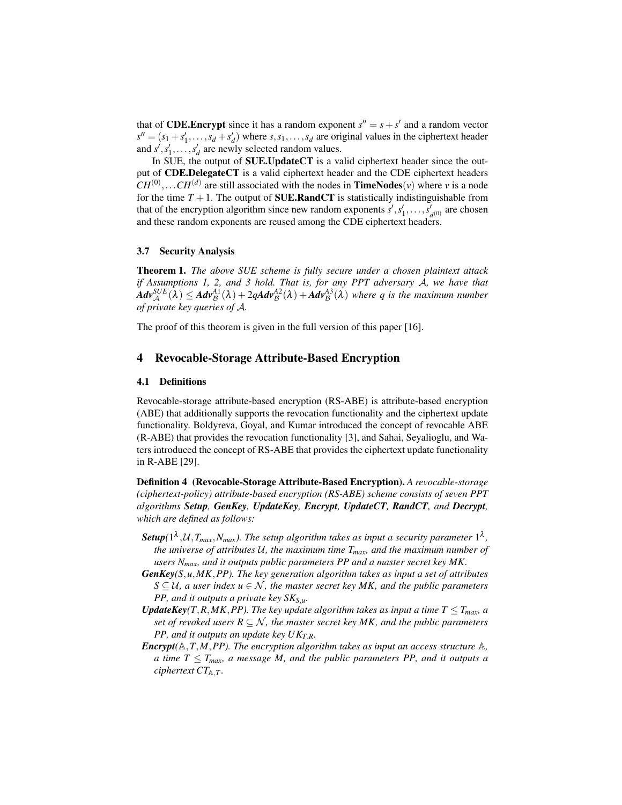that of **CDE.Encrypt** since it has a random exponent  $s'' = s + s'$  and a random vector  $s'' = (s_1 + s'_1, \ldots, s_d + s'_d)$  where  $s, s_1, \ldots, s_d$  are original values in the ciphertext header and  $s'$ ,  $s'_1$ ,  $\ldots$ ,  $s'_d$  are newly selected random values.

In SUE, the output of SUE.UpdateCT is a valid ciphertext header since the output of CDE.DelegateCT is a valid ciphertext header and the CDE ciphertext headers  $CH^{(0)}, \ldots CH^{(d)}$  are still associated with the nodes in **TimeNodes**(*v*) where *v* is a node for the time  $T + 1$ . The output of **SUE.RandCT** is statistically indistinguishable from that of the encryption algorithm since new random exponents  $s', s'_1, \ldots, s'_s$  $d_{(0)}$  are chosen and these random exponents are reused among the CDE ciphertext headers.

#### 3.7 Security Analysis

Theorem 1. *The above SUE scheme is fully secure under a chosen plaintext attack if Assumptions 1, 2, and 3 hold. That is, for any PPT adversary A, we have that*  $Adv_{\mathcal{A}}^{SUE}(\lambda) \leq Adv_{\mathcal{B}}^{A1}(\lambda) + 2qAdv_{\mathcal{B}}^{A2}(\lambda) + Adv_{\mathcal{B}}^{A3}(\lambda)$  where q is the maximum number *of private key queries of A.*

The proof of this theorem is given in the full version of this paper [16].

## 4 Revocable-Storage Attribute-Based Encryption

#### 4.1 Definitions

Revocable-storage attribute-based encryption (RS-ABE) is attribute-based encryption (ABE) that additionally supports the revocation functionality and the ciphertext update functionality. Boldyreva, Goyal, and Kumar introduced the concept of revocable ABE (R-ABE) that provides the revocation functionality [3], and Sahai, Seyalioglu, and Waters introduced the concept of RS-ABE that provides the ciphertext update functionality in R-ABE [29].

Definition 4 (Revocable-Storage Attribute-Based Encryption). *A revocable-storage (ciphertext-policy) attribute-based encryption (RS-ABE) scheme consists of seven PPT algorithms Setup, GenKey, UpdateKey, Encrypt, UpdateCT, RandCT, and Decrypt, which are defined as follows:*

- **Setup**( $1^{\lambda}$ , $\mathcal{U}$ , $T_{max}$ , $N_{max}$ ). The setup algorithm takes as input a security parameter  $1^{\lambda}$ , *the universe of attributes U, the maximum time Tmax, and the maximum number of users Nmax, and it outputs public parameters PP and a master secret key MK.*
- *GenKey(S,u,MK,PP). The key generation algorithm takes as input a set of attributes*  $S \subseteq U$ , a user index  $u \in \mathcal{N}$ , the master secret key MK, and the public parameters *PP, and it outputs a private key SKS,u.*
- *UpdateKey*(*T,R,MK,PP*). The key update algorithm takes as input a time  $T \leq T_{max}$ *a set of revoked users*  $R \subseteq \mathcal{N}$ , the master secret key MK, and the public parameters *PP, and it outputs an update key UKT,R.*
- *Encrypt*( $\mathbb{A}, T, M, PP$ ). The encryption algorithm takes as input an access structure  $\mathbb{A},$ *a time T*  $\leq$  *T*<sub>*max</sub>*, *a message M*, *and the public parameters PP*, *and it outputs a*</sub> *ciphertext*  $CT_{A,T}$ *.*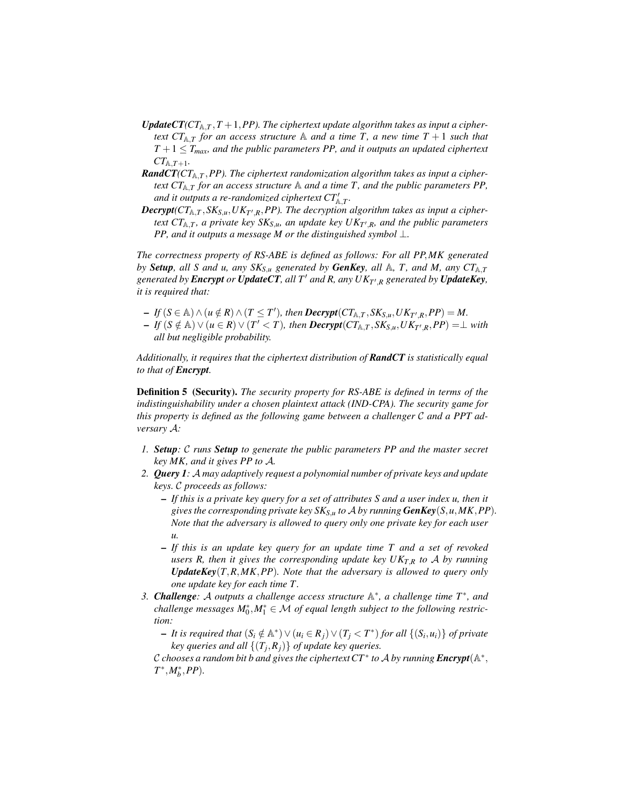- *UpdateCT*( $CT_{A,T}$ ,  $T + 1$ ,  $PP$ ). The ciphertext update algorithm takes as input a cipher*text*  $CT_{A,T}$  *for an access structure* A *and a time T*, *a new time T* + 1 *such that*  $T + 1 \leq T_{max}$ , and the public parameters PP, and it outputs an updated ciphertext  $CT_{A,T+1}$ .
- *RandCT*( $CT_{A,T}$ , *PP*). The ciphertext randomization algorithm takes as input a cipher*text*  $CT_{A,T}$  *for an access structure* A *and a time T*, *and the public parameters PP*, *and it outputs a re-randomized ciphertext CT′* A*,T .*
- *Decrypt(CT*A*,<sup>T</sup> ,SKS,u,UK<sup>T</sup> ′ ,R,PP). The decryption algorithm takes as input a ciphertext*  $CT_{\mathbb{A},T}$ *, a private key SK<sub>S</sub><sub>,u</sub>, an update key*  $UK_{T',R}$ *, and the public parameters PP, and it outputs a message M or the distinguished symbol ⊥.*

*The correctness property of RS-ABE is defined as follows: For all PP,MK generated by Setup, all S and u, any*  $SK_{S,u}$  *generated by GenKey, all A, T, and M, any*  $CT_{A,T}$ *generated by Encrypt or UpdateCT, all T′ and R, any UK<sup>T</sup> ′ ,<sup>R</sup> generated by UpdateKey, it is required that:*

- $-If(S \in A) \wedge (u \notin R) \wedge (T \leq T'),$  then  $\text{Decrypt}(CT_{A,T}, SK_{S,u}, UK_{T',R}, PP) = M.$
- $-If(S \notin A) \vee (u \in R) \vee (T' < T)$ , then **Decrypt** $(CT_{A,T}, SK_{S,u}, UK_{T',R}, PP) = \perp$  with *all but negligible probability.*

*Additionally, it requires that the ciphertext distribution of RandCT is statistically equal to that of Encrypt.*

Definition 5 (Security). *The security property for RS-ABE is defined in terms of the indistinguishability under a chosen plaintext attack (IND-CPA). The security game for this property is defined as the following game between a challenger C and a PPT adversary A:*

- *1. Setup: C runs Setup to generate the public parameters PP and the master secret key MK, and it gives PP to A.*
- *2. Query 1: A may adaptively request a polynomial number of private keys and update keys. C proceeds as follows:*
	- *If this is a private key query for a set of attributes S and a user index u, then it gives the corresponding private key SKS,<sup>u</sup> to A by running GenKey*(*S,u,MK,PP*)*. Note that the adversary is allowed to query only one private key for each user u.*
	- *If this is an update key query for an update time T and a set of revoked users R, then it gives the corresponding update key*  $UK_{TR}$  *to A by running UpdateKey*(*T,R,MK,PP*)*. Note that the adversary is allowed to query only one update key for each time T .*
- *3. Challenge: A outputs a challenge access structure* A *∗ , a challenge time T<sup>∗</sup> , and*  $\alpha$ challenge messages  $M_0^*, M_1^* \in \mathcal{M}$  of equal length subject to the following restric*tion:*
	- It is required that  $(S_i \notin \mathbb{A}^*) \vee (u_i \in R_j) \vee (T_j < T^*)$  for all  $\{(S_i, u_i)\}\$  of private *key queries and all {*(*T<sup>j</sup> ,Rj*)*} of update key queries.*

 $\mathcal C$  *chooses a random bit b and gives the ciphertext*  $CT^*$  *to*  $\mathcal A$  *by running*  $\pmb{Encrypt}(\mathbb A^*,$ *T ∗ ,M<sup>∗</sup> b ,PP*)*.*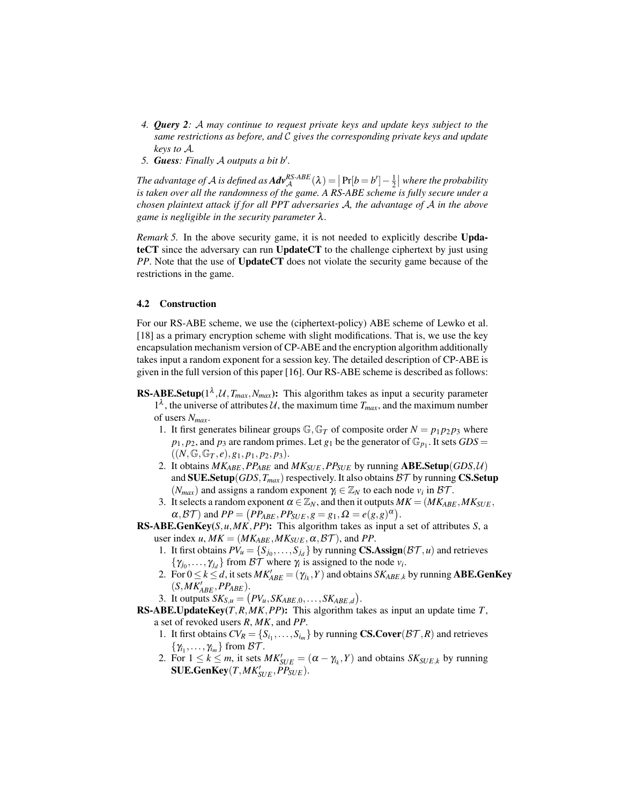- *4. Query 2: A may continue to request private keys and update keys subject to the same restrictions as before, and C gives the corresponding private keys and update keys to A.*
- *5. Guess: Finally A outputs a bit b′ .*

The advantage of A is defined as  $Adv_A^{RS\text{-}ABE}(\lambda) = \left[ Pr[b=b'] - \frac{1}{2} \right]$  where the probability *is taken over all the randomness of the game. A RS-ABE scheme is fully secure under a chosen plaintext attack if for all PPT adversaries A, the advantage of A in the above game is negligible in the security parameter* λ*.*

*Remark 5.* In the above security game, it is not needed to explicitly describe UpdateCT since the adversary can run UpdateCT to the challenge ciphertext by just using *PP*. Note that the use of UpdateCT does not violate the security game because of the restrictions in the game.

#### 4.2 Construction

For our RS-ABE scheme, we use the (ciphertext-policy) ABE scheme of Lewko et al. [18] as a primary encryption scheme with slight modifications. That is, we use the key encapsulation mechanism version of CP-ABE and the encryption algorithm additionally takes input a random exponent for a session key. The detailed description of CP-ABE is given in the full version of this paper [16]. Our RS-ABE scheme is described as follows:

- **RS-ABE.Setup**( $1^{\lambda}$ , $\mathcal{U}$ ,  $T_{max}$ , $N_{max}$ ): This algorithm takes as input a security parameter 1<sup> $\lambda$ </sup>, the universe of attributes  $\mathcal{U}$ , the maximum time  $T_{max}$ , and the maximum number of users *Nmax*.
	- 1. It first generates bilinear groups  $\mathbb{G}, \mathbb{G}_T$  of composite order  $N = p_1 p_2 p_3$  where  $p_1, p_2$ , and  $p_3$  are random primes. Let  $g_1$  be the generator of  $\mathbb{G}_{p_1}$ . It sets  $GDS =$  $((N, \mathbb{G}, \mathbb{G}_T, e), g_1, p_1, p_2, p_3).$
	- 2. It obtains  $MK_{ABE}$ ,  $PP_{ABE}$  and  $MK_{SUE}$ ,  $PP_{SUE}$  by running  $ABE$ . Setup( $GDS$ , $U$ ) and SUE.Setup( $GDS$ ,  $T_{max}$ ) respectively. It also obtains  $BT$  by running CS.Setup  $(N_{max})$  and assigns a random exponent  $\gamma_i \in \mathbb{Z}_N$  to each node  $v_i$  in  $\mathcal{BT}$ .
	- 3. It selects a random exponent  $\alpha \in \mathbb{Z}_N$ , and then it outputs  $MK = (MK_{ABE}, MK_{SUE},$  $\alpha$ ,  $\beta$ T) and  $PP = (PP_{ABE}, PP_{SUE}, g = g_1, \Omega = e(g, g)^{\alpha})$ .
- RS-ABE.GenKey(*S,u,MK,PP*): This algorithm takes as input a set of attributes *S*, a user index *u*,  $MK = (MK_{ABE}, MK_{SUE}, \alpha, \beta\mathcal{T})$ , and *PP*.
	- 1. It first obtains  $PV_u = \{S_{j_0}, \ldots, S_{j_d}\}\$  by running **CS.Assign**( $\beta\mathcal{T}, u$ ) and retrieves  $\{\gamma_{j_0}, \ldots, \gamma_{j_d}\}$  from *BT* where  $\gamma_i$  is assigned to the node  $v_i$ .
	- 2. For  $0 \le k \le d$ , it sets  $MK'_{ABE} = (\gamma_{j_k}, Y)$  and obtains  $SK_{ABE,k}$  by running **ABE.GenKey**  $(S, MK'_{ABE}, PP_{ABE}).$
	- 3. It outputs  $SK_{S,u} = (PV_u, SK_{ABE,0}, \ldots, SK_{ABE,d}).$
- RS-ABE.UpdateKey(*T,R,MK,PP*): This algorithm takes as input an update time *T*, a set of revoked users *R*, *MK*, and *PP*.
	- 1. It first obtains  $CV_R = \{S_{i_1}, \ldots, S_{i_m}\}\$  by running  $\mathbf{CS.Cover}(\mathcal{BT},R)$  and retrieves  $\{\gamma_{i_1}, \ldots, \gamma_{i_m}\}$  from *BT*.
	- 2. For  $1 \leq k \leq m$ , it sets  $MK'_{SUE} = (\alpha \gamma_{i_k}, Y)$  and obtains  $SK_{SUE,k}$  by running  $\textbf{SUE}.\textbf{GenKey}(T,\textit{MK}_{SUE}', \textit{PP}_{SUE}).$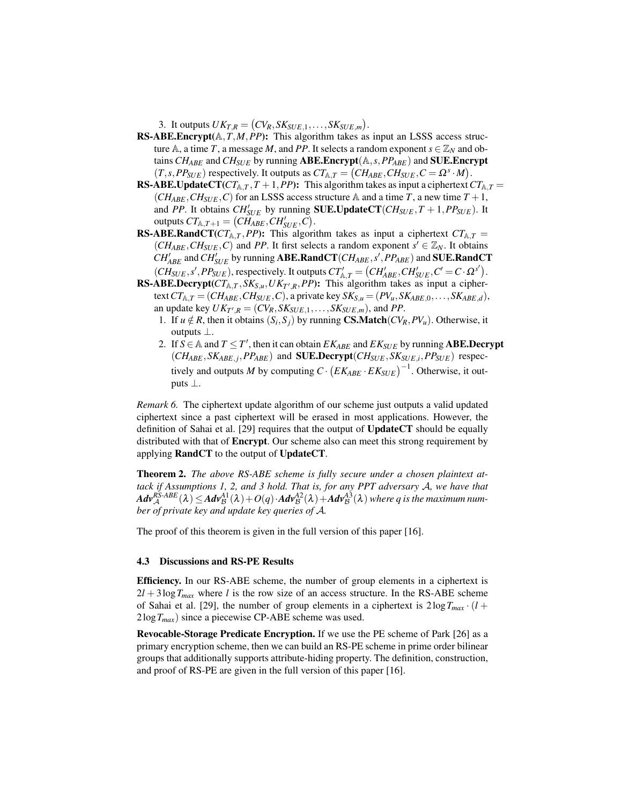3. It outputs  $UK_{T,R} = (CV_R, SK_{SUE,1}, \ldots, SK_{SUE,m})$ .

- RS-ABE.Encrypt(A*,T,M,PP*): This algorithm takes as input an LSSS access structure A, a time *T*, a message *M*, and *PP*. It selects a random exponent  $s \in \mathbb{Z}_N$  and obtains *CHABE* and *CHSUE* by running ABE.Encrypt(A*,s,PPABE*) and SUE.Encrypt  $(T, s, PP_{SUE})$  respectively. It outputs as  $CT_{A,T} = (CH_{ABE}, CH_{SUE}, C = \Omega^s \cdot M)$ .
- **RS-ABE.UpdateCT**( $CT_{A,T}$ ,  $T + 1$ ,  $PP$ ): This algorithm takes as input a ciphertext  $CT_{A,T}$  =  $(CH_{ABE}, CH_{SUE}, C)$  for an LSSS access structure A and a time *T*, a new time  $T + 1$ , and *PP*. It obtains  $CH'_{SUE}$  by running **SUE.UpdateCT**( $CH_{SUE}, T + 1, PP_{SUE}$ ). It  $\text{outputs } CT_{\mathbb{A},T+1} = (CH_{ABE}^{\text{SCE}}, CH'_{SUE}, C).$
- **RS-ABE.RandCT**( $CT_{\mathbb{A},T}$ , *PP*): This algorithm takes as input a ciphertext  $CT_{\mathbb{A},T}$  =  $(CH_{ABE}, CH_{SUE}, C)$  and *PP*. It first selects a random exponent  $s' \in \mathbb{Z}_N$ . It obtains  $CH'_{ABE}$  and  $CH'_{SUE}$  by running  $\mathbf{ABE}.\mathbf{RandCT}(CH_{ABE}, s', PP_{ABE})$  and  $\mathbf{SUE}.\mathbf{RandCT}$  $(CH_{SUE}, s', PP_{SUE})$ , respectively. It outputs  $CT'_{A,T} = (CH'_{ABE}, CH'_{SUE}, C' = C \cdot \Omega^{s'})$ .
- **RS-ABE.Decrypt**( $CT_{A,T}$ ,  $SK_{S,u}$ ,  $UK_{T',R}$ ,  $PP$ ): This algorithm takes as input a ciphertext  $CT_{A,T} = (CH_{ABE}, CH_{SUE}, C)$ , a private key  $SK_{S,u} = (PV_u, SK_{ABE,0}, \ldots, SK_{ABE,d})$ , an update key  $UK_{T',R} = (CV_R, SK_{SUE,1}, \ldots, SK_{SUE,m})$ , and *PP*.
	- 1. If  $u \notin R$ , then it obtains  $(S_i, S_j)$  by running **CS.Match**( $CV_R, PV_u$ ). Otherwise, it outputs *⊥*.
	- 2. If  $S \in \mathbb{A}$  and  $T \leq T'$ , then it can obtain  $EK_{ABE}$  and  $EK_{SUE}$  by running **ABE.Decrypt**  $(CH_{ABE}, SK_{ABE,j}, PP_{ABE})$  and **SUE.Decrypt** $(CH_{SUE}, SK_{SUE,i}, PP_{SUE})$  respectively and outputs *M* by computing  $C \cdot (EK_{ABE} \cdot EK_{SUE})^{-1}$ . Otherwise, it outputs *⊥*.

*Remark 6.* The ciphertext update algorithm of our scheme just outputs a valid updated ciphertext since a past ciphertext will be erased in most applications. However, the definition of Sahai et al. [29] requires that the output of UpdateCT should be equally distributed with that of **Encrypt**. Our scheme also can meet this strong requirement by applying RandCT to the output of UpdateCT.

Theorem 2. *The above RS-ABE scheme is fully secure under a chosen plaintext attack if Assumptions 1, 2, and 3 hold. That is, for any PPT adversary A, we have that*  $\mathit{Adv}^{RS\text{-}ABE}_{\mathcal{A}}(\lambda) \leq \mathit{Adv}^{A1}_{\mathcal{B}}(\lambda)+O(q)\cdot\mathit{Adv}^{A2}_{\mathcal{B}}(\lambda)+\mathit{Adv}^{A3}_{\mathcal{B}}(\lambda)$  where  $q$  is the maximum num*ber of private key and update key queries of A.*

The proof of this theorem is given in the full version of this paper [16].

#### 4.3 Discussions and RS-PE Results

Efficiency. In our RS-ABE scheme, the number of group elements in a ciphertext is  $2l + 3\log T_{max}$  where *l* is the row size of an access structure. In the RS-ABE scheme of Sahai et al. [29], the number of group elements in a ciphertext is  $2\log T_{max} \cdot (l +$ 2log*Tmax*) since a piecewise CP-ABE scheme was used.

Revocable-Storage Predicate Encryption. If we use the PE scheme of Park [26] as a primary encryption scheme, then we can build an RS-PE scheme in prime order bilinear groups that additionally supports attribute-hiding property. The definition, construction, and proof of RS-PE are given in the full version of this paper [16].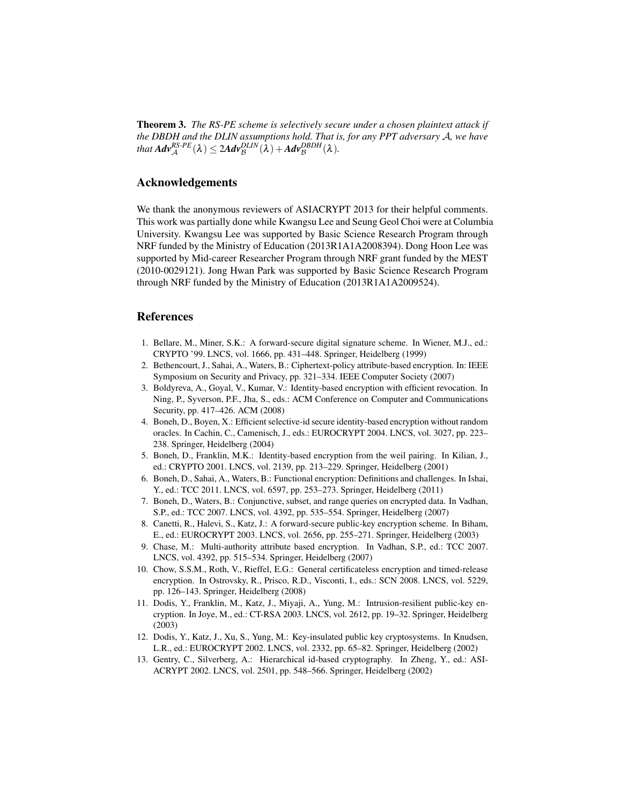Theorem 3. *The RS-PE scheme is selectively secure under a chosen plaintext attack if the DBDH and the DLIN assumptions hold. That is, for any PPT adversary A, we have*  $that$   $Adv_{\mathcal{A}}^{RS-PE}(\lambda) \leq 2Adv_{\mathcal{B}}^{DLIN}(\lambda) + Adv_{\mathcal{B}}^{DBDH}(\lambda)$ .

## Acknowledgements

We thank the anonymous reviewers of ASIACRYPT 2013 for their helpful comments. This work was partially done while Kwangsu Lee and Seung Geol Choi were at Columbia University. Kwangsu Lee was supported by Basic Science Research Program through NRF funded by the Ministry of Education (2013R1A1A2008394). Dong Hoon Lee was supported by Mid-career Researcher Program through NRF grant funded by the MEST (2010-0029121). Jong Hwan Park was supported by Basic Science Research Program through NRF funded by the Ministry of Education (2013R1A1A2009524).

### References

- 1. Bellare, M., Miner, S.K.: A forward-secure digital signature scheme. In Wiener, M.J., ed.: CRYPTO '99. LNCS, vol. 1666, pp. 431–448. Springer, Heidelberg (1999)
- 2. Bethencourt, J., Sahai, A., Waters, B.: Ciphertext-policy attribute-based encryption. In: IEEE Symposium on Security and Privacy, pp. 321–334. IEEE Computer Society (2007)
- 3. Boldyreva, A., Goyal, V., Kumar, V.: Identity-based encryption with efficient revocation. In Ning, P., Syverson, P.F., Jha, S., eds.: ACM Conference on Computer and Communications Security, pp. 417–426. ACM (2008)
- 4. Boneh, D., Boyen, X.: Efficient selective-id secure identity-based encryption without random oracles. In Cachin, C., Camenisch, J., eds.: EUROCRYPT 2004. LNCS, vol. 3027, pp. 223– 238. Springer, Heidelberg (2004)
- 5. Boneh, D., Franklin, M.K.: Identity-based encryption from the weil pairing. In Kilian, J., ed.: CRYPTO 2001. LNCS, vol. 2139, pp. 213–229. Springer, Heidelberg (2001)
- 6. Boneh, D., Sahai, A., Waters, B.: Functional encryption: Definitions and challenges. In Ishai, Y., ed.: TCC 2011. LNCS, vol. 6597, pp. 253–273. Springer, Heidelberg (2011)
- 7. Boneh, D., Waters, B.: Conjunctive, subset, and range queries on encrypted data. In Vadhan, S.P., ed.: TCC 2007. LNCS, vol. 4392, pp. 535–554. Springer, Heidelberg (2007)
- 8. Canetti, R., Halevi, S., Katz, J.: A forward-secure public-key encryption scheme. In Biham, E., ed.: EUROCRYPT 2003. LNCS, vol. 2656, pp. 255–271. Springer, Heidelberg (2003)
- 9. Chase, M.: Multi-authority attribute based encryption. In Vadhan, S.P., ed.: TCC 2007. LNCS, vol. 4392, pp. 515–534. Springer, Heidelberg (2007)
- 10. Chow, S.S.M., Roth, V., Rieffel, E.G.: General certificateless encryption and timed-release encryption. In Ostrovsky, R., Prisco, R.D., Visconti, I., eds.: SCN 2008. LNCS, vol. 5229, pp. 126–143. Springer, Heidelberg (2008)
- 11. Dodis, Y., Franklin, M., Katz, J., Miyaji, A., Yung, M.: Intrusion-resilient public-key encryption. In Joye, M., ed.: CT-RSA 2003. LNCS, vol. 2612, pp. 19–32. Springer, Heidelberg (2003)
- 12. Dodis, Y., Katz, J., Xu, S., Yung, M.: Key-insulated public key cryptosystems. In Knudsen, L.R., ed.: EUROCRYPT 2002. LNCS, vol. 2332, pp. 65–82. Springer, Heidelberg (2002)
- 13. Gentry, C., Silverberg, A.: Hierarchical id-based cryptography. In Zheng, Y., ed.: ASI-ACRYPT 2002. LNCS, vol. 2501, pp. 548–566. Springer, Heidelberg (2002)